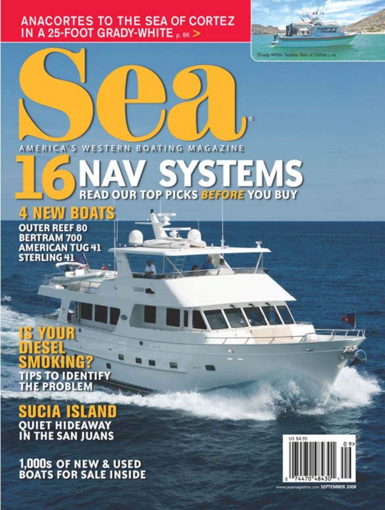# **ANACORTES TO THE SEA OF CORTEZ IN A 25-FOOT GRADY-WHITE p.86 >**



AMERICA'S WESTERN BOATING MAGAZINE

# STEMS **READ OUR TOP PICKS BEFORE YOU BUY**

**BOATS** 

**OUTER REEF 80 BERTRAM 700 AMERICAN TUG 41 STERLING 41** 

# TO IDEN PS **PROBLEI**

# **QUIET HIDEAWAY<br>IN THE SAN JUANS**

**1,000s OF NEW & USED<br>BOATS FOR SALE INSIDE** 



www.seamagazine.com SEPTEMBER 2008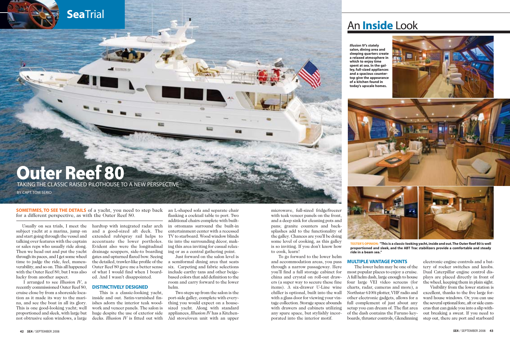microwave, full-sized fridge/freezer with teak veneer panels on the front, and a deep sink for cleaning pots and pans; granite counters and backsplashes add to the functionality of the galley. Chances are you'll be doing some level of cooking, as this galley is so inviting. If you don't know how to cook, learn!

To go forward to the lower helm and accommodation areas, you pass through a narrow passageway. Here you'll find a full storage cabinet for china and crystal on roll-out drawers (a super way to secure these fine items). A six-drawer U-Line wine chiller is optional, built into the wall with a glass door for viewing your vintage collection. Storage space abounds with drawers and cabinets utilizing any spare space, but stylishly incorporated into the interior motif.

Usually on sea trials, I meet the subject yacht at a marina, jump on and start going through the vessel and talking over features with the captain or sales reps who usually ride along. Then we head out and put the yacht through its paces, and I get some wheel time to judge the ride, feel, maneuverability, and so on. This all happened with the Outer Reef 80, but I was also lucky from another aspect.

I arranged to see *Illusion IV*, a recently commissioned Outer Reef 80, cruise close by from a shoreside location as it made its way to the marina, and see the boat in all its glory. This is one good-looking yacht; well proportioned and sleek, with large but not obtrusive salon windows, a large

**SOMETIMES, TO SEE THE DETAILS** of a yacht, you need to step back for a different perspective, as with the Outer Reef 80.

> hardtop with integrated radar arch and a good-sized aft deck. The extended rub/spray rail helps to accentuate the lower portholes. Evident also were the longitudinal drainage scuppers, side-to boarding gates and upturned flared bow. Seeing the detailed, trawler-like profile of the Outer Reef 80 gave me a better sense of what I would find when I boarded. And I wasn't disappointed.

# **DISTINCTIVELY DESIGNED**

This is a classic-looking yacht, inside and out. Satin-varnished finishes adorn the interior teak woodwork and veneer panels. The salon is huge despite the use of exterior side decks. *Illusion IV* is fitted out with

an L-shaped sofa and separate chair flanking a cocktail table to port. Two additional chairs complete with builtin ottomans surround the built-in entertainment center with a recessed TV to starboard. Wood window blinds tie into the surrounding décor, making this area inviting for casual relaxing or as a central gathering point.

Just forward on the salon level is a semiformal dining area that seats six. Carpeting and fabric selections include earthy tans and other beigebased colors that add definition to the room and carry forward to the lower helm.

Two steps up from the salon is the port-side galley, complete with everything you would expect on a housesized yacht. Along with standard appliances, *Illusion IV* has a Kitchen-Aid stove/oven unit with an upper

**Sea**Trial

# **Outer Reef 80** TAKING THE CLASSIC RAISED PILOTHOUSE TO A NEW PERSPECTIVE

BY CAPT. TOM SERIO





# **MULTIPLE VANTAGE POINTS**

The lower helm may be one of the most popular places to enjoy a cruise. A full helm dash, large enough to house four large VEI video screens (for charts, radar, cameras and more), a Northstar 6100i plotter, VHF radio and other electronic gadgets, allows for a full complement of just about any setup you can dream of. The flat area of the dash contains the Furuno keyboards, thruster controls, Glendinning

electronic engine controls and a battery of rocker switches and knobs. Dual Caterpillar engine control displays are placed directly in front of the wheel, keeping them in plain sight.

Visibility from the lower station is excellent, thanks to the five large forward house windows. Or, you can use the several optional fore, aft or side cameras that can guide you into a slip without breaking a sweat. If you need to step out, there are port and starboard

**TESTER'S OPINION: "This is a classic-looking yacht, inside and out.The Outer Reef 80 is well proportioned and sleek, and the ABT Trac stabilizers provide a comfortable and steady**

**ride in a beam sea."**